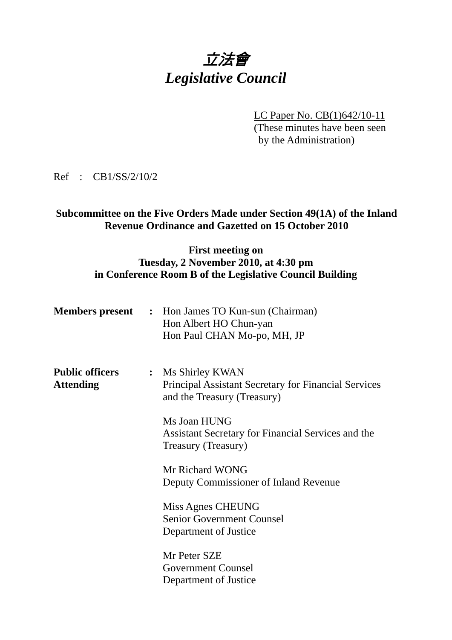# 立法會 *Legislative Council*

LC Paper No. CB(1)642/10-11 (These minutes have been seen by the Administration)

Ref : CB1/SS/2/10/2

# **Subcommittee on the Five Orders Made under Section 49(1A) of the Inland Revenue Ordinance and Gazetted on 15 October 2010**

#### **First meeting on Tuesday, 2 November 2010, at 4:30 pm in Conference Room B of the Legislative Council Building**

|                                            |                | <b>Members present</b> : Hon James TO Kun-sun (Chairman)<br>Hon Albert HO Chun-yan<br>Hon Paul CHAN Mo-po, MH, JP |
|--------------------------------------------|----------------|-------------------------------------------------------------------------------------------------------------------|
| <b>Public officers</b><br><b>Attending</b> | $\ddot{\cdot}$ | Ms Shirley KWAN<br><b>Principal Assistant Secretary for Financial Services</b><br>and the Treasury (Treasury)     |
|                                            |                | Ms Joan HUNG<br>Assistant Secretary for Financial Services and the<br>Treasury (Treasury)                         |
|                                            |                | Mr Richard WONG<br>Deputy Commissioner of Inland Revenue                                                          |
|                                            |                | Miss Agnes CHEUNG<br><b>Senior Government Counsel</b><br>Department of Justice                                    |
|                                            |                | Mr Peter SZE<br><b>Government Counsel</b><br>Department of Justice                                                |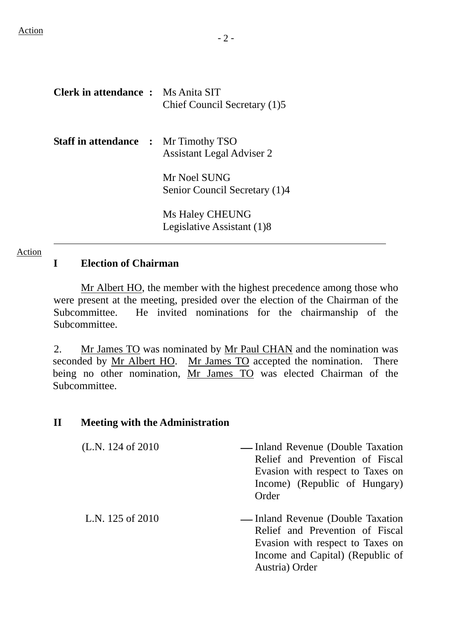| <b>Clerk in attendance :</b> Ms Anita SIT   | Chief Council Secretary (1)5                  |
|---------------------------------------------|-----------------------------------------------|
| <b>Staff in attendance :</b> Mr Timothy TSO | <b>Assistant Legal Adviser 2</b>              |
|                                             | Mr Noel SUNG<br>Senior Council Secretary (1)4 |
|                                             | Ms Haley CHEUNG<br>Legislative Assistant (1)8 |

#### Action

### **I Election of Chairman**

 Mr Albert HO, the member with the highest precedence among those who were present at the meeting, presided over the election of the Chairman of the Subcommittee. He invited nominations for the chairmanship of the Subcommittee.

2. Mr James TO was nominated by Mr Paul CHAN and the nomination was seconded by Mr Albert HO. Mr James TO accepted the nomination. There being no other nomination, Mr James TO was elected Chairman of the Subcommittee.

#### **II Meeting with the Administration**

| (L.N. $124$ of $2010$ ) | — Inland Revenue (Double Taxation<br>Relief and Prevention of Fiscal<br>Evasion with respect to Taxes on<br>Income) (Republic of Hungary)<br>Order |
|-------------------------|----------------------------------------------------------------------------------------------------------------------------------------------------|
| L.N. 125 of 2010        | — Inland Revenue (Double Taxation<br>Relief and Prevention of Fiscal                                                                               |

Evasion with respect to Taxes on Income and Capital) (Republic of

Austria) Order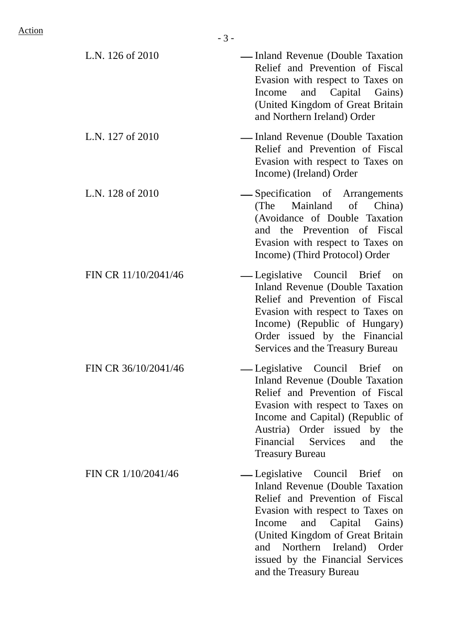| L.N. 126 of 2010     | — Inland Revenue (Double Taxation<br>Relief and Prevention of Fiscal<br>Evasion with respect to Taxes on<br>Income and Capital Gains)<br>(United Kingdom of Great Britain<br>and Northern Ireland) Order                                                                                                     |
|----------------------|--------------------------------------------------------------------------------------------------------------------------------------------------------------------------------------------------------------------------------------------------------------------------------------------------------------|
| L.N. 127 of 2010     | — Inland Revenue (Double Taxation<br>Relief and Prevention of Fiscal<br>Evasion with respect to Taxes on<br>Income) (Ireland) Order                                                                                                                                                                          |
| L.N. 128 of 2010     | -Specification of Arrangements<br>(The Mainland of China)<br>(Avoidance of Double Taxation<br>and the Prevention of Fiscal<br>Evasion with respect to Taxes on<br>Income) (Third Protocol) Order                                                                                                             |
| FIN CR 11/10/2041/46 | — Legislative Council Brief on<br>Inland Revenue (Double Taxation<br>Relief and Prevention of Fiscal<br>Evasion with respect to Taxes on<br>Income) (Republic of Hungary)<br>Order issued by the Financial<br>Services and the Treasury Bureau                                                               |
| FIN CR 36/10/2041/46 | — Legislative Council Brief<br>on<br>Inland Revenue (Double Taxation<br>Relief and Prevention of Fiscal<br>Evasion with respect to Taxes on<br>Income and Capital) (Republic of<br>Austria) Order issued by the<br>Financial Services<br>and<br>the<br><b>Treasury Bureau</b>                                |
| FIN CR 1/10/2041/46  | -Legislative Council Brief on<br>Inland Revenue (Double Taxation<br>Relief and Prevention of Fiscal<br>Evasion with respect to Taxes on<br>and Capital<br>Gains)<br>Income<br>(United Kingdom of Great Britain<br>and Northern Ireland) Order<br>issued by the Financial Services<br>and the Treasury Bureau |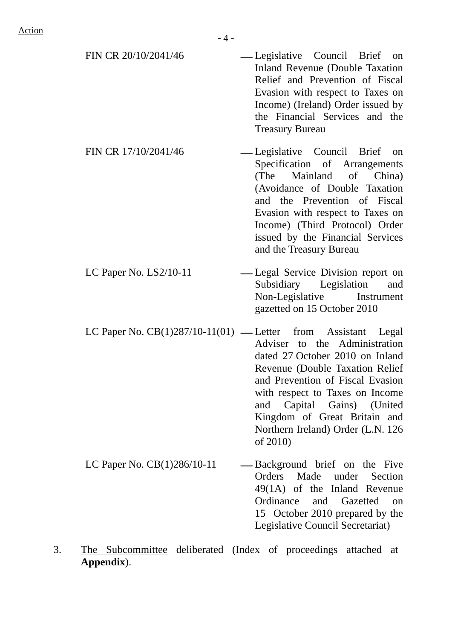| FIN CR 20/10/2041/46                                            | — Legislative Council Brief on<br>Inland Revenue (Double Taxation<br>Relief and Prevention of Fiscal<br>Evasion with respect to Taxes on<br>Income) (Ireland) Order issued by<br>the Financial Services and the<br><b>Treasury Bureau</b>                                                       |
|-----------------------------------------------------------------|-------------------------------------------------------------------------------------------------------------------------------------------------------------------------------------------------------------------------------------------------------------------------------------------------|
| FIN CR 17/10/2041/46                                            | -Legislative Council Brief on<br>Specification of Arrangements<br>(The Mainland of China)<br>(Avoidance of Double Taxation<br>and the Prevention of Fiscal<br>Evasion with respect to Taxes on<br>Income) (Third Protocol) Order<br>issued by the Financial Services<br>and the Treasury Bureau |
| LC Paper No. $LS2/10-11$                                        | -Legal Service Division report on<br>Subsidiary Legislation<br>and<br>Non-Legislative Instrument<br>gazetted on 15 October 2010                                                                                                                                                                 |
| LC Paper No. $CB(1)287/10-11(01)$ — Letter from Assistant Legal | Adviser to the Administration<br>dated 27 October 2010 on Inland<br>Revenue (Double Taxation Relief<br>and Prevention of Fiscal Evasion<br>with respect to Taxes on Income<br>and Capital Gains) (United<br>Kingdom of Great Britain and<br>Northern Ireland) Order (L.N. 126<br>of 2010)       |
| LC Paper No. $CB(1)286/10-11$                                   | — Background brief on the Five<br>Made<br>Orders<br>under<br>Section<br>$49(1A)$ of the Inland Revenue<br>Ordinance<br>and Gazetted<br>on<br>15 October 2010 prepared by the<br>Legislative Council Secretariat)                                                                                |

3. The Subcommittee deliberated (Index of proceedings attached at **Appendix**).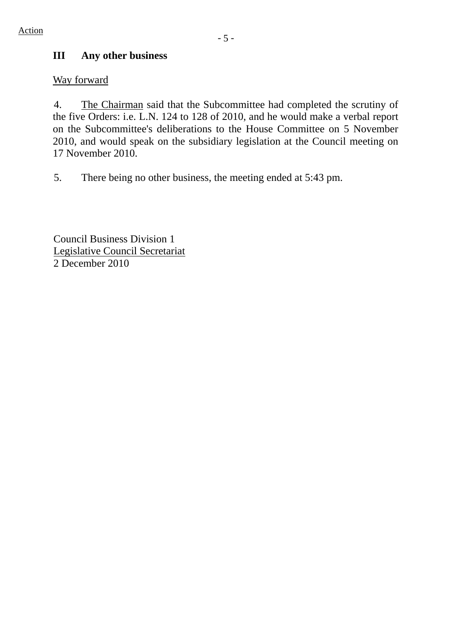# **III Any other business**

### Way forward

4. The Chairman said that the Subcommittee had completed the scrutiny of the five Orders: i.e. L.N. 124 to 128 of 2010, and he would make a verbal report on the Subcommittee's deliberations to the House Committee on 5 November 2010, and would speak on the subsidiary legislation at the Council meeting on 17 November 2010.

5. There being no other business, the meeting ended at 5:43 pm.

Council Business Division 1 Legislative Council Secretariat 2 December 2010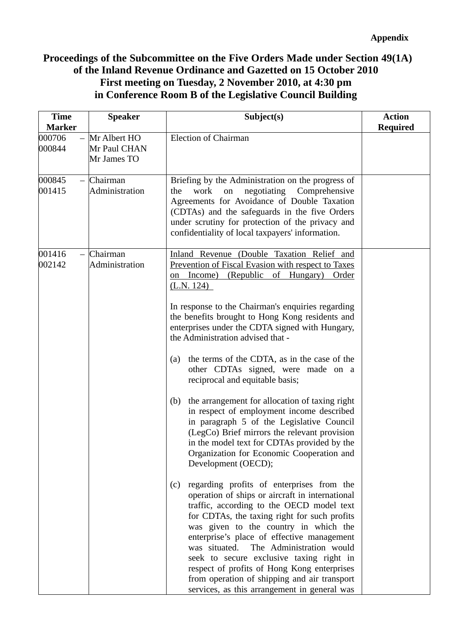# **Proceedings of the Subcommittee on the Five Orders Made under Section 49(1A) of the Inland Revenue Ordinance and Gazetted on 15 October 2010 First meeting on Tuesday, 2 November 2010, at 4:30 pm in Conference Room B of the Legislative Council Building**

| <b>Time</b><br><b>Marker</b> | <b>Speaker</b>                              | Subject(s)                                                                                                                                                                                                                                                                                                                                                                                                                                                                                                                      | <b>Action</b><br><b>Required</b> |
|------------------------------|---------------------------------------------|---------------------------------------------------------------------------------------------------------------------------------------------------------------------------------------------------------------------------------------------------------------------------------------------------------------------------------------------------------------------------------------------------------------------------------------------------------------------------------------------------------------------------------|----------------------------------|
| 000706<br>000844             | Mr Albert HO<br>Mr Paul CHAN<br>Mr James TO | <b>Election of Chairman</b>                                                                                                                                                                                                                                                                                                                                                                                                                                                                                                     |                                  |
| 000845<br>001415             | Chairman<br>Administration                  | Briefing by the Administration on the progress of<br>negotiating<br>Comprehensive<br>work<br>on<br>the<br>Agreements for Avoidance of Double Taxation<br>(CDTAs) and the safeguards in the five Orders<br>under scrutiny for protection of the privacy and<br>confidentiality of local taxpayers' information.                                                                                                                                                                                                                  |                                  |
| 001416<br>002142             | Chairman<br>Administration                  | Inland Revenue (Double Taxation Relief and<br><b>Prevention of Fiscal Evasion with respect to Taxes</b><br>on Income) (Republic of Hungary)<br>Order<br>(L.N. 124)                                                                                                                                                                                                                                                                                                                                                              |                                  |
|                              |                                             | In response to the Chairman's enquiries regarding<br>the benefits brought to Hong Kong residents and<br>enterprises under the CDTA signed with Hungary,<br>the Administration advised that -                                                                                                                                                                                                                                                                                                                                    |                                  |
|                              |                                             | the terms of the CDTA, as in the case of the<br>(a)<br>other CDTAs signed, were made on a<br>reciprocal and equitable basis;                                                                                                                                                                                                                                                                                                                                                                                                    |                                  |
|                              |                                             | the arrangement for allocation of taxing right<br>(b)<br>in respect of employment income described<br>in paragraph 5 of the Legislative Council<br>(LegCo) Brief mirrors the relevant provision<br>in the model text for CDTAs provided by the<br>Organization for Economic Cooperation and<br>Development (OECD);                                                                                                                                                                                                              |                                  |
|                              |                                             | regarding profits of enterprises from the<br>(c)<br>operation of ships or aircraft in international<br>traffic, according to the OECD model text<br>for CDTAs, the taxing right for such profits<br>was given to the country in which the<br>enterprise's place of effective management<br>The Administration would<br>was situated.<br>seek to secure exclusive taxing right in<br>respect of profits of Hong Kong enterprises<br>from operation of shipping and air transport<br>services, as this arrangement in general was |                                  |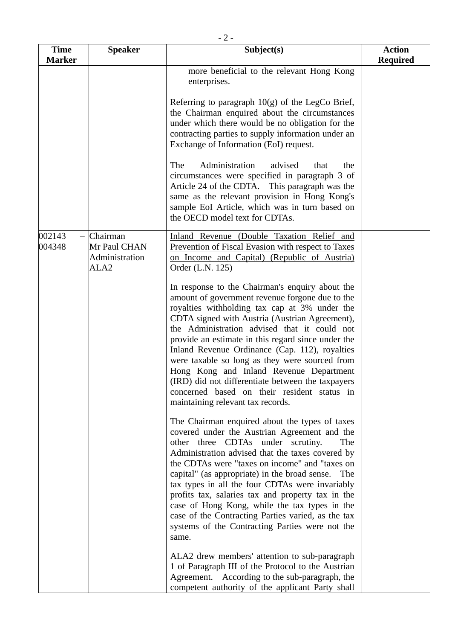| <b>Time</b><br><b>Marker</b> | <b>Speaker</b>                                                 | Subject(s)                                                                                                                                                                                                                                                                                                                                                                                                                                                                                                                                                                                          | <b>Action</b><br><b>Required</b> |
|------------------------------|----------------------------------------------------------------|-----------------------------------------------------------------------------------------------------------------------------------------------------------------------------------------------------------------------------------------------------------------------------------------------------------------------------------------------------------------------------------------------------------------------------------------------------------------------------------------------------------------------------------------------------------------------------------------------------|----------------------------------|
|                              |                                                                | more beneficial to the relevant Hong Kong<br>enterprises.                                                                                                                                                                                                                                                                                                                                                                                                                                                                                                                                           |                                  |
|                              |                                                                | Referring to paragraph $10(g)$ of the LegCo Brief,<br>the Chairman enquired about the circumstances<br>under which there would be no obligation for the<br>contracting parties to supply information under an<br>Exchange of Information (EoI) request.                                                                                                                                                                                                                                                                                                                                             |                                  |
|                              |                                                                | Administration<br>The<br>advised<br>that<br>the<br>circumstances were specified in paragraph 3 of<br>Article 24 of the CDTA. This paragraph was the<br>same as the relevant provision in Hong Kong's<br>sample EoI Article, which was in turn based on<br>the OECD model text for CDTAs.                                                                                                                                                                                                                                                                                                            |                                  |
| 002143<br>004348             | Chairman<br>Mr Paul CHAN<br>Administration<br>ALA <sub>2</sub> | Inland Revenue (Double Taxation Relief and<br>Prevention of Fiscal Evasion with respect to Taxes<br>on Income and Capital) (Republic of Austria)<br>Order (L.N. 125)                                                                                                                                                                                                                                                                                                                                                                                                                                |                                  |
|                              |                                                                | In response to the Chairman's enquiry about the<br>amount of government revenue forgone due to the<br>royalties withholding tax cap at 3% under the<br>CDTA signed with Austria (Austrian Agreement),<br>the Administration advised that it could not<br>provide an estimate in this regard since under the<br>Inland Revenue Ordinance (Cap. 112), royalties<br>were taxable so long as they were sourced from<br>Hong Kong and Inland Revenue Department<br>(IRD) did not differentiate between the taxpayers<br>concerned based on their resident status in<br>maintaining relevant tax records. |                                  |
|                              |                                                                | The Chairman enquired about the types of taxes<br>covered under the Austrian Agreement and the<br>other three CDTAs under scrutiny.<br><b>The</b><br>Administration advised that the taxes covered by<br>the CDTAs were "taxes on income" and "taxes on<br>capital" (as appropriate) in the broad sense.<br>The<br>tax types in all the four CDTAs were invariably<br>profits tax, salaries tax and property tax in the<br>case of Hong Kong, while the tax types in the<br>case of the Contracting Parties varied, as the tax<br>systems of the Contracting Parties were not the<br>same.          |                                  |
|                              |                                                                | ALA2 drew members' attention to sub-paragraph<br>1 of Paragraph III of the Protocol to the Austrian<br>Agreement. According to the sub-paragraph, the<br>competent authority of the applicant Party shall                                                                                                                                                                                                                                                                                                                                                                                           |                                  |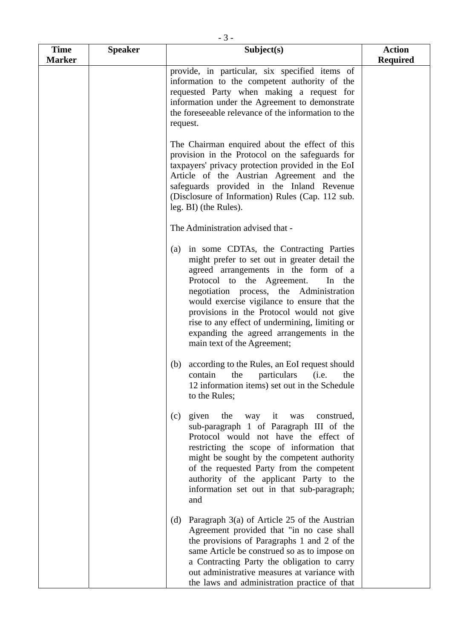| <b>Time</b>   | <b>Speaker</b> | Subject(s)                                                                                                                                                                                                                                                                                                                                                                                                                                         | <b>Action</b>   |
|---------------|----------------|----------------------------------------------------------------------------------------------------------------------------------------------------------------------------------------------------------------------------------------------------------------------------------------------------------------------------------------------------------------------------------------------------------------------------------------------------|-----------------|
| <b>Marker</b> |                | provide, in particular, six specified items of<br>information to the competent authority of the<br>requested Party when making a request for<br>information under the Agreement to demonstrate<br>the foreseeable relevance of the information to the<br>request.                                                                                                                                                                                  | <b>Required</b> |
|               |                | The Chairman enquired about the effect of this<br>provision in the Protocol on the safeguards for<br>taxpayers' privacy protection provided in the EoI<br>Article of the Austrian Agreement and the<br>safeguards provided in the Inland Revenue<br>(Disclosure of Information) Rules (Cap. 112 sub.<br>leg. BI) (the Rules).                                                                                                                      |                 |
|               |                | The Administration advised that -                                                                                                                                                                                                                                                                                                                                                                                                                  |                 |
|               |                | in some CDTAs, the Contracting Parties<br>(a)<br>might prefer to set out in greater detail the<br>agreed arrangements in the form of a<br>Protocol to the Agreement.<br>In the<br>negotiation process, the Administration<br>would exercise vigilance to ensure that the<br>provisions in the Protocol would not give<br>rise to any effect of undermining, limiting or<br>expanding the agreed arrangements in the<br>main text of the Agreement; |                 |
|               |                | according to the Rules, an EoI request should<br>(b)<br>particulars (i.e.<br>contain<br>the<br>the<br>12 information items) set out in the Schedule<br>to the Rules;                                                                                                                                                                                                                                                                               |                 |
|               |                | given<br>the<br>(c)<br>way it<br>was construed,<br>sub-paragraph 1 of Paragraph III of the<br>Protocol would not have the effect of<br>restricting the scope of information that<br>might be sought by the competent authority<br>of the requested Party from the competent<br>authority of the applicant Party to the<br>information set out in that sub-paragraph;<br>and                                                                        |                 |
|               |                | Paragraph $3(a)$ of Article 25 of the Austrian<br>(d)<br>Agreement provided that "in no case shall<br>the provisions of Paragraphs 1 and 2 of the<br>same Article be construed so as to impose on<br>a Contracting Party the obligation to carry<br>out administrative measures at variance with<br>the laws and administration practice of that                                                                                                   |                 |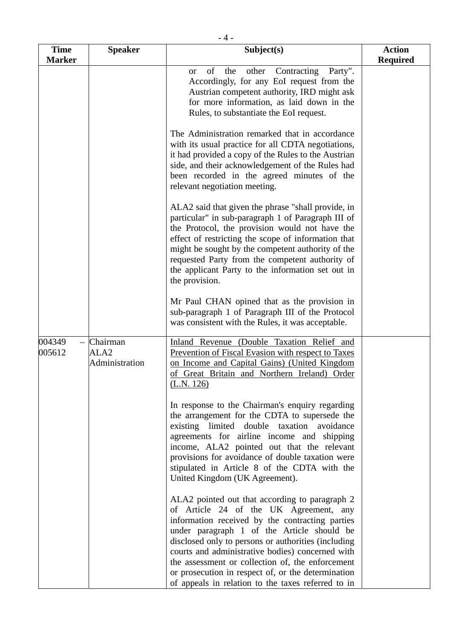| <b>Time</b>      | <b>Speaker</b>                                 | Subject(s)                                                                                                                                                                                                                                                                                                                                                                                                                                                           | <b>Action</b>   |
|------------------|------------------------------------------------|----------------------------------------------------------------------------------------------------------------------------------------------------------------------------------------------------------------------------------------------------------------------------------------------------------------------------------------------------------------------------------------------------------------------------------------------------------------------|-----------------|
| <b>Marker</b>    |                                                |                                                                                                                                                                                                                                                                                                                                                                                                                                                                      | <b>Required</b> |
|                  |                                                | of<br>Contracting<br>the<br>other<br>Party".<br><sub>or</sub><br>Accordingly, for any EoI request from the<br>Austrian competent authority, IRD might ask<br>for more information, as laid down in the<br>Rules, to substantiate the EoI request.                                                                                                                                                                                                                    |                 |
|                  |                                                | The Administration remarked that in accordance<br>with its usual practice for all CDTA negotiations,<br>it had provided a copy of the Rules to the Austrian<br>side, and their acknowledgement of the Rules had<br>been recorded in the agreed minutes of the<br>relevant negotiation meeting.                                                                                                                                                                       |                 |
|                  |                                                | ALA2 said that given the phrase "shall provide, in<br>particular" in sub-paragraph 1 of Paragraph III of<br>the Protocol, the provision would not have the<br>effect of restricting the scope of information that<br>might be sought by the competent authority of the<br>requested Party from the competent authority of<br>the applicant Party to the information set out in<br>the provision.                                                                     |                 |
|                  |                                                | Mr Paul CHAN opined that as the provision in<br>sub-paragraph 1 of Paragraph III of the Protocol<br>was consistent with the Rules, it was acceptable.                                                                                                                                                                                                                                                                                                                |                 |
| 004349<br>005612 | Chairman<br>ALA <sub>2</sub><br>Administration | Inland Revenue (Double Taxation Relief and<br>Prevention of Fiscal Evasion with respect to Taxes<br>on Income and Capital Gains) (United Kingdom<br>of Great Britain and Northern Ireland) Order<br>(L.N. 126)                                                                                                                                                                                                                                                       |                 |
|                  |                                                | In response to the Chairman's enquiry regarding<br>the arrangement for the CDTA to supersede the<br>existing limited double taxation avoidance<br>agreements for airline income and shipping<br>income, ALA2 pointed out that the relevant<br>provisions for avoidance of double taxation were<br>stipulated in Article 8 of the CDTA with the<br>United Kingdom (UK Agreement).                                                                                     |                 |
|                  |                                                | ALA2 pointed out that according to paragraph 2<br>of Article 24 of the UK Agreement, any<br>information received by the contracting parties<br>under paragraph 1 of the Article should be<br>disclosed only to persons or authorities (including<br>courts and administrative bodies) concerned with<br>the assessment or collection of, the enforcement<br>or prosecution in respect of, or the determination<br>of appeals in relation to the taxes referred to in |                 |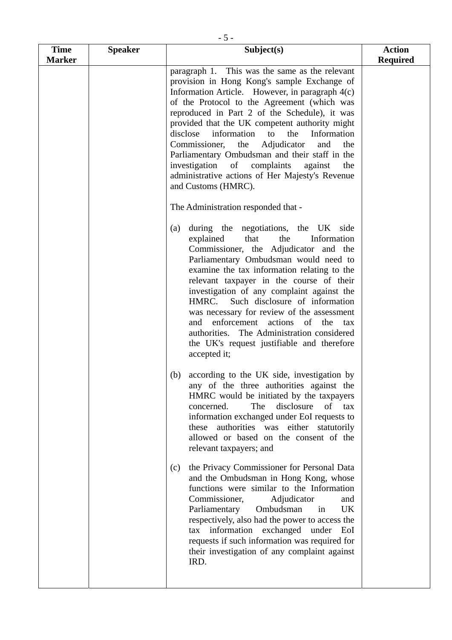| <b>Time</b>   | <b>Speaker</b> | Subject(s)                                                                                                                                                                                                                                                                                                                                                                                                                                                                                                                                                                                     | <b>Action</b>   |
|---------------|----------------|------------------------------------------------------------------------------------------------------------------------------------------------------------------------------------------------------------------------------------------------------------------------------------------------------------------------------------------------------------------------------------------------------------------------------------------------------------------------------------------------------------------------------------------------------------------------------------------------|-----------------|
| <b>Marker</b> |                |                                                                                                                                                                                                                                                                                                                                                                                                                                                                                                                                                                                                | <b>Required</b> |
|               |                | paragraph 1. This was the same as the relevant<br>provision in Hong Kong's sample Exchange of<br>Information Article. However, in paragraph 4(c)<br>of the Protocol to the Agreement (which was<br>reproduced in Part 2 of the Schedule), it was<br>provided that the UK competent authority might<br>disclose<br>information<br>Information<br>to<br>the<br>the<br>Adjudicator<br>Commissioner,<br>and<br>the<br>Parliamentary Ombudsman and their staff in the<br>investigation<br>of complaints<br>against<br>the<br>administrative actions of Her Majesty's Revenue<br>and Customs (HMRC). |                 |
|               |                | The Administration responded that -                                                                                                                                                                                                                                                                                                                                                                                                                                                                                                                                                            |                 |
|               |                | during the negotiations, the UK side<br>(a)<br>explained<br>that<br>Information<br>the<br>Commissioner, the Adjudicator and the<br>Parliamentary Ombudsman would need to<br>examine the tax information relating to the<br>relevant taxpayer in the course of their<br>investigation of any complaint against the<br>HMRC. Such disclosure of information<br>was necessary for review of the assessment<br>enforcement actions of the<br>and<br>tax<br>authorities. The Administration considered<br>the UK's request justifiable and therefore<br>accepted it;                                |                 |
|               |                | according to the UK side, investigation by<br>(b)<br>any of the three authorities against the<br>HMRC would be initiated by the taxpayers<br>concerned.<br>The<br>disclosure<br>of tax<br>information exchanged under EoI requests to<br>these authorities was either statutorily<br>allowed or based on the consent of the<br>relevant taxpayers; and                                                                                                                                                                                                                                         |                 |
|               |                | the Privacy Commissioner for Personal Data<br>(c)<br>and the Ombudsman in Hong Kong, whose<br>functions were similar to the Information<br>Commissioner,<br>Adjudicator<br>and<br>Parliamentary<br>Ombudsman<br>UK.<br>in<br>respectively, also had the power to access the<br>information exchanged under<br>tax<br>EoI<br>requests if such information was required for<br>their investigation of any complaint against<br>IRD.                                                                                                                                                              |                 |